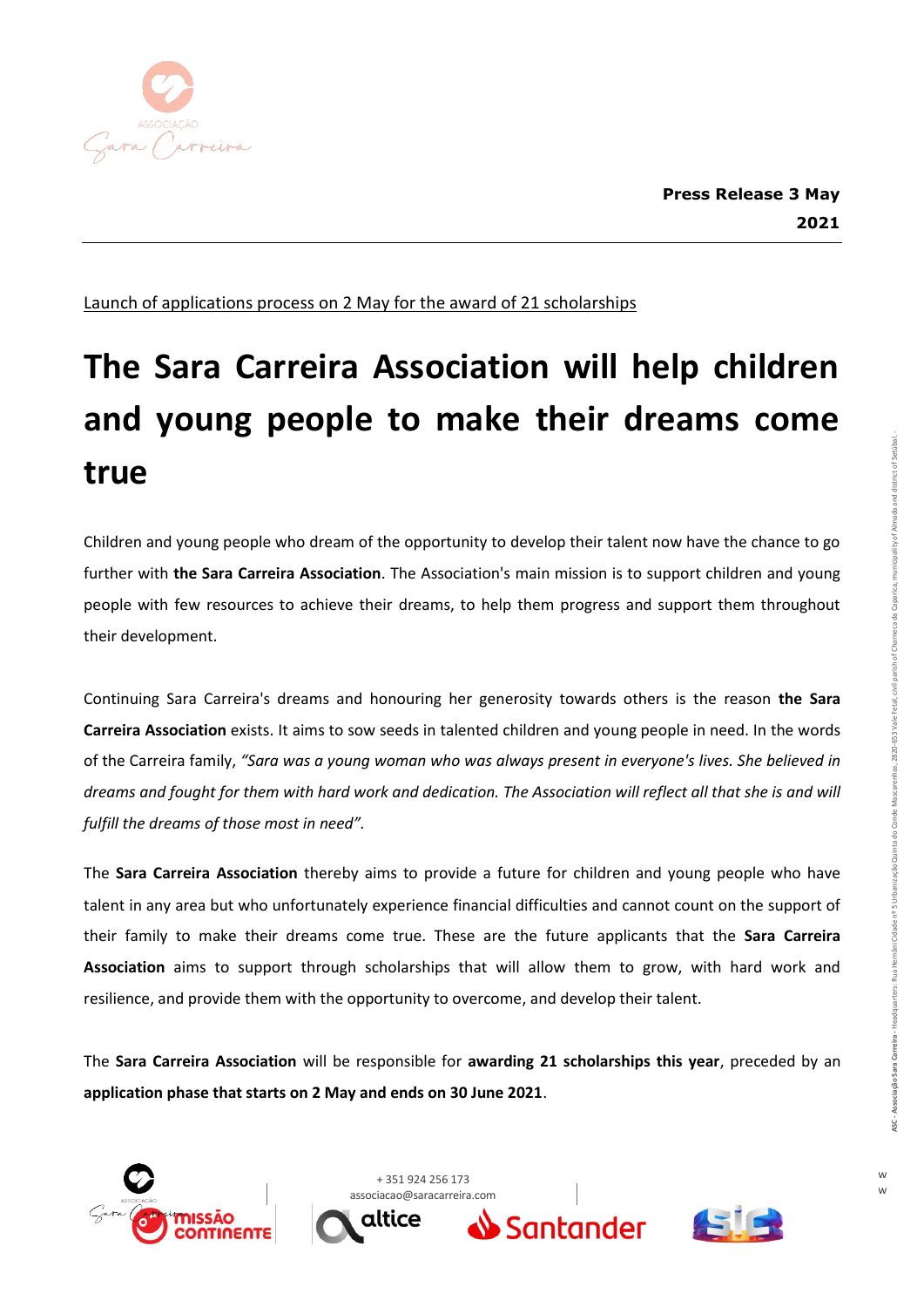

Launch of applications process on 2 May for the award of 21 scholarships

## **The Sara Carreira Association will help children and young people to make their dreams come true**

Children and young people who dream of the opportunity to develop their talent now have the chance to go further with **the Sara Carreira Association**. The Association's main mission is to support children and young people with few resources to achieve their dreams, to help them progress and support them throughout their development.

Continuing Sara Carreira's dreams and honouring her generosity towards others is the reason **the Sara Carreira Association** exists. It aims to sow seeds in talented children and young people in need. In the words of the Carreira family, *"Sara was a young woman who was always present in everyone's lives. She believed in dreams and fought for them with hard work and dedication. The Association will reflect all that she is and will fulfill the dreams of those most in need".*

The **Sara Carreira Association** thereby aims to provide a future for children and young people who have talent in any area but who unfortunately experience financial difficulties and cannot count on the support of their family to make their dreams come true. These are the future applicants that the **Sara Carreira Association** aims to support through scholarships that will allow them to grow, with hard work and resilience, and provide them with the opportunity to overcome, and develop their talent.

The **Sara Carreira Association** will be responsible for **awarding 21 scholarships this year**, preceded by an **application phase that starts on 2 May and ends on 30 June 2021**.







ASC-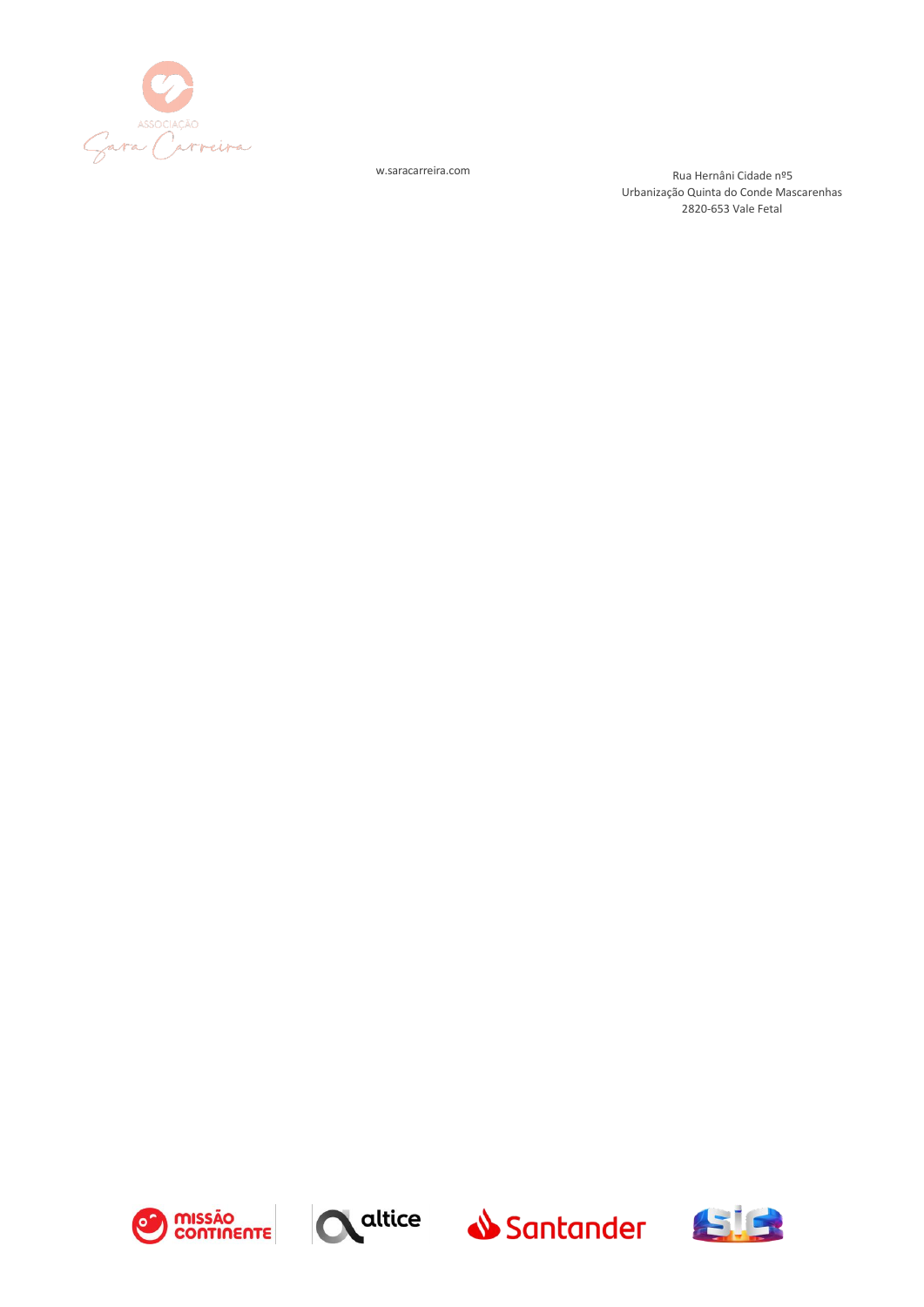

[w.saracarreira.com](http://www.saracarreira.com/) **Mateuralia Europa anticera de la constructa de la constructa de la constructa de la constructa de la constructa de la constructa de la constructa de la constructa de la constructa de la constructa de la** Urbanização Quinta do Conde Mascarenhas 2820 -653 Vale Fetal







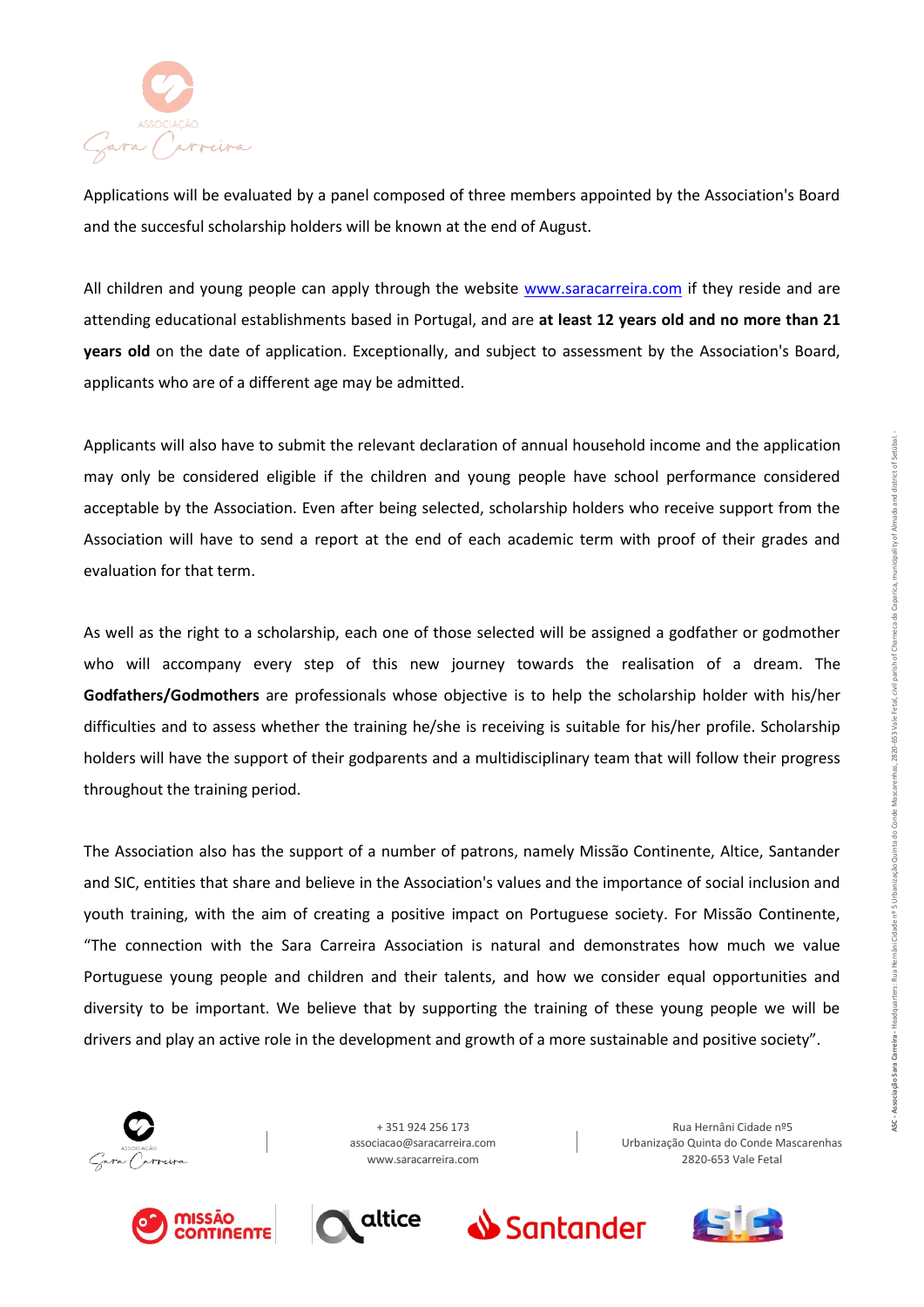

Applications will be evaluated by a panel composed of three members appointed by the Association's Board and the succesful scholarship holders will be known at the end of August.

All children and young people can apply through the website [www.saracarreira.com](http://www.saracarreira.com/) if they reside and are attending educational establishments based in Portugal, and are **at least 12 years old and no more than 21 years old** on the date of application. Exceptionally, and subject to assessment by the Association's Board, applicants who are of a different age may be admitted.

Applicants will also have to submit the relevant declaration of annual household income and the application may only be considered eligible if the children and young people have school performance considered acceptable by the Association. Even after being selected, scholarship holders who receive support from the Association will have to send a report at the end of each academic term with proof of their grades and evaluation for that term.

As well as the right to a scholarship, each one of those selected will be assigned a godfather or godmother who will accompany every step of this new journey towards the realisation of a dream. The **Godfathers/Godmothers** are professionals whose objective is to help the scholarship holder with his/her difficulties and to assess whether the training he/she is receiving is suitable for his/her profile. Scholarship holders will have the support of their godparents and a multidisciplinary team that will follow their progress throughout the training period.

The Association also has the support of a number of patrons, namely Missão Continente, Altice, Santander and SIC, entities that share and believe in the Association's values and the importance of social inclusion and youth training, with the aim of creating a positive impact on Portuguese society. For Missão Continente, "The connection with the Sara Carreira Association is natural and demonstrates how much we value Portuguese young people and children and their talents, and how we consider equal opportunities and diversity to be important. We believe that by supporting the training of these young people we will be drivers and play an active role in the development and growth of a more sustainable and positive society".







altice

Rua Hernâni Cidade nº5 Urbanização Quinta do Conde Mascarenhas 2820-653 Vale Fetal